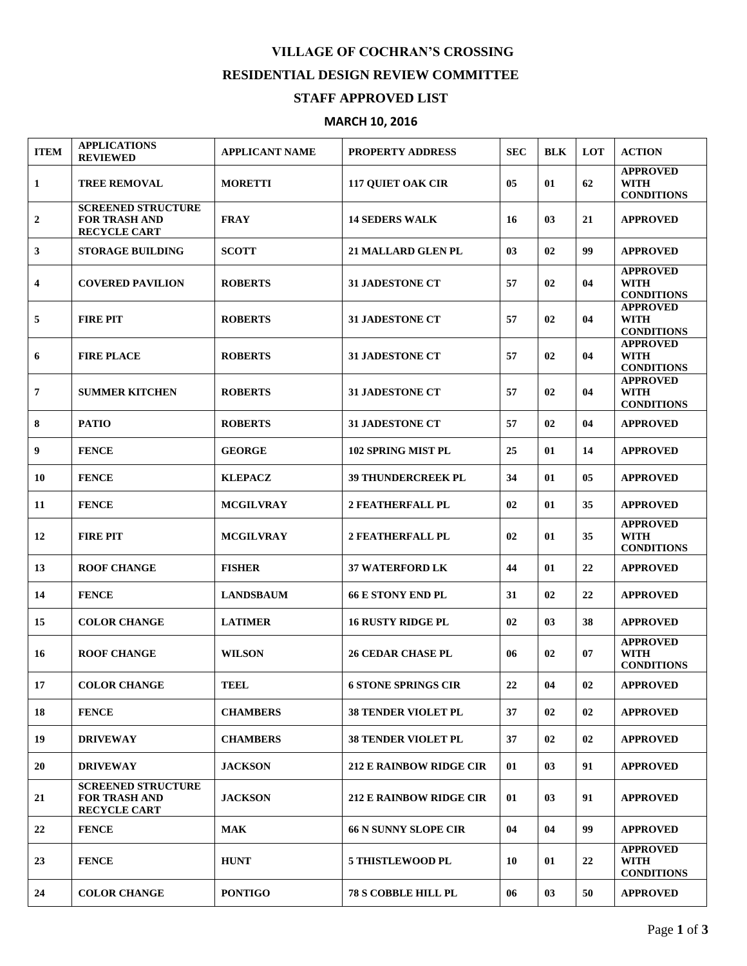## **VILLAGE OF COCHRAN'S CROSSING RESIDENTIAL DESIGN REVIEW COMMITTEE**

## **STAFF APPROVED LIST**

## **MARCH 10, 2016**

| <b>ITEM</b>    | <b>APPLICATIONS</b><br><b>REVIEWED</b>                                   | <b>APPLICANT NAME</b> | <b>PROPERTY ADDRESS</b>        | <b>SEC</b>     | <b>BLK</b> | <b>LOT</b>     | <b>ACTION</b>                                       |
|----------------|--------------------------------------------------------------------------|-----------------------|--------------------------------|----------------|------------|----------------|-----------------------------------------------------|
| 1              | <b>TREE REMOVAL</b>                                                      | <b>MORETTI</b>        | <b>117 QUIET OAK CIR</b>       | 05             | 01         | 62             | <b>APPROVED</b><br><b>WITH</b><br><b>CONDITIONS</b> |
| $\mathbf{2}$   | <b>SCREENED STRUCTURE</b><br><b>FOR TRASH AND</b><br><b>RECYCLE CART</b> | <b>FRAY</b>           | <b>14 SEDERS WALK</b>          | 16             | 03         | 21             | <b>APPROVED</b>                                     |
| 3              | <b>STORAGE BUILDING</b>                                                  | <b>SCOTT</b>          | <b>21 MALLARD GLEN PL</b>      | 0 <sub>3</sub> | 02         | 99             | <b>APPROVED</b>                                     |
| 4              | <b>COVERED PAVILION</b>                                                  | <b>ROBERTS</b>        | <b>31 JADESTONE CT</b>         | 57             | 02         | 04             | <b>APPROVED</b><br><b>WITH</b><br><b>CONDITIONS</b> |
| 5              | <b>FIRE PIT</b>                                                          | <b>ROBERTS</b>        | <b>31 JADESTONE CT</b>         | 57             | 02         | 04             | <b>APPROVED</b><br><b>WITH</b><br><b>CONDITIONS</b> |
| 6              | <b>FIRE PLACE</b>                                                        | <b>ROBERTS</b>        | <b>31 JADESTONE CT</b>         | 57             | 02         | 04             | <b>APPROVED</b><br><b>WITH</b><br><b>CONDITIONS</b> |
| $\overline{7}$ | <b>SUMMER KITCHEN</b>                                                    | <b>ROBERTS</b>        | <b>31 JADESTONE CT</b>         | 57             | 02         | 04             | <b>APPROVED</b><br><b>WITH</b><br><b>CONDITIONS</b> |
| 8              | <b>PATIO</b>                                                             | <b>ROBERTS</b>        | <b>31 JADESTONE CT</b>         | 57             | 02         | 04             | <b>APPROVED</b>                                     |
| 9              | <b>FENCE</b>                                                             | <b>GEORGE</b>         | <b>102 SPRING MIST PL</b>      | 25             | 01         | 14             | <b>APPROVED</b>                                     |
| 10             | <b>FENCE</b>                                                             | <b>KLEPACZ</b>        | <b>39 THUNDERCREEK PL</b>      | 34             | 01         | 0 <sub>5</sub> | <b>APPROVED</b>                                     |
| 11             | <b>FENCE</b>                                                             | <b>MCGILVRAY</b>      | <b>2 FEATHERFALL PL</b>        | 02             | 01         | 35             | <b>APPROVED</b>                                     |
| 12             | <b>FIRE PIT</b>                                                          | <b>MCGILVRAY</b>      | <b>2 FEATHERFALL PL</b>        | 02             | 01         | 35             | <b>APPROVED</b><br><b>WITH</b><br><b>CONDITIONS</b> |
| 13             | <b>ROOF CHANGE</b>                                                       | <b>FISHER</b>         | <b>37 WATERFORD LK</b>         | 44             | 01         | 22             | <b>APPROVED</b>                                     |
| 14             | <b>FENCE</b>                                                             | <b>LANDSBAUM</b>      | <b>66 E STONY END PL</b>       | 31             | 02         | 22             | <b>APPROVED</b>                                     |
| 15             | <b>COLOR CHANGE</b>                                                      | <b>LATIMER</b>        | <b>16 RUSTY RIDGE PL</b>       | 02             | 03         | 38             | <b>APPROVED</b>                                     |
| 16             | <b>ROOF CHANGE</b>                                                       | <b>WILSON</b>         | <b>26 CEDAR CHASE PL</b>       | 06             | 02         | 07             | <b>APPROVED</b><br><b>WITH</b><br><b>CONDITIONS</b> |
| 17             | <b>COLOR CHANGE</b>                                                      | TEEL                  | <b>6 STONE SPRINGS CIR</b>     | 22             | 04         | 02             | <b>APPROVED</b>                                     |
| 18             | <b>FENCE</b>                                                             | <b>CHAMBERS</b>       | <b>38 TENDER VIOLET PL</b>     | 37             | 02         | 02             | <b>APPROVED</b>                                     |
| 19             | <b>DRIVEWAY</b>                                                          | <b>CHAMBERS</b>       | <b>38 TENDER VIOLET PL</b>     | 37             | 02         | 02             | <b>APPROVED</b>                                     |
| 20             | <b>DRIVEWAY</b>                                                          | <b>JACKSON</b>        | <b>212 E RAINBOW RIDGE CIR</b> | 01             | 03         | 91             | <b>APPROVED</b>                                     |
| 21             | <b>SCREENED STRUCTURE</b><br><b>FOR TRASH AND</b><br><b>RECYCLE CART</b> | <b>JACKSON</b>        | <b>212 E RAINBOW RIDGE CIR</b> | 01             | 03         | 91             | <b>APPROVED</b>                                     |
| 22             | <b>FENCE</b>                                                             | <b>MAK</b>            | <b>66 N SUNNY SLOPE CIR</b>    | 04             | 04         | 99             | <b>APPROVED</b>                                     |
| 23             | <b>FENCE</b>                                                             | <b>HUNT</b>           | <b>5 THISTLEWOOD PL</b>        | 10             | 01         | 22             | <b>APPROVED</b><br><b>WITH</b><br><b>CONDITIONS</b> |
| 24             | <b>COLOR CHANGE</b>                                                      | <b>PONTIGO</b>        | <b>78 S COBBLE HILL PL</b>     | 06             | 03         | 50             | <b>APPROVED</b>                                     |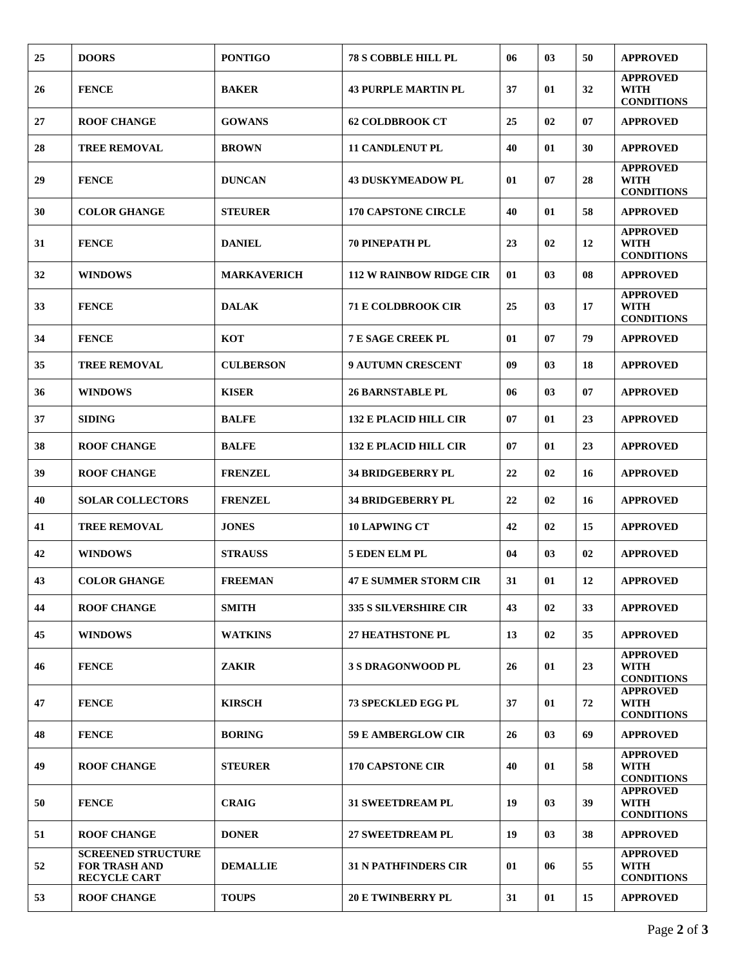| 25 | <b>DOORS</b>                                                             | <b>PONTIGO</b>     | <b>78 S COBBLE HILL PL</b>     | 06 | 03 | 50 | <b>APPROVED</b>                                     |
|----|--------------------------------------------------------------------------|--------------------|--------------------------------|----|----|----|-----------------------------------------------------|
| 26 | <b>FENCE</b>                                                             | <b>BAKER</b>       | <b>43 PURPLE MARTIN PL</b>     | 37 | 01 | 32 | <b>APPROVED</b><br><b>WITH</b><br><b>CONDITIONS</b> |
| 27 | <b>ROOF CHANGE</b>                                                       | <b>GOWANS</b>      | <b>62 COLDBROOK CT</b>         | 25 | 02 | 07 | <b>APPROVED</b>                                     |
| 28 | <b>TREE REMOVAL</b>                                                      | <b>BROWN</b>       | <b>11 CANDLENUT PL</b>         | 40 | 01 | 30 | <b>APPROVED</b>                                     |
| 29 | <b>FENCE</b>                                                             | <b>DUNCAN</b>      | <b>43 DUSKYMEADOW PL</b>       | 01 | 07 | 28 | <b>APPROVED</b><br><b>WITH</b><br><b>CONDITIONS</b> |
| 30 | <b>COLOR GHANGE</b>                                                      | <b>STEURER</b>     | <b>170 CAPSTONE CIRCLE</b>     | 40 | 01 | 58 | <b>APPROVED</b>                                     |
| 31 | <b>FENCE</b>                                                             | <b>DANIEL</b>      | <b>70 PINEPATH PL</b>          | 23 | 02 | 12 | <b>APPROVED</b><br><b>WITH</b><br><b>CONDITIONS</b> |
| 32 | <b>WINDOWS</b>                                                           | <b>MARKAVERICH</b> | <b>112 W RAINBOW RIDGE CIR</b> | 01 | 03 | 08 | <b>APPROVED</b>                                     |
| 33 | <b>FENCE</b>                                                             | <b>DALAK</b>       | <b>71 E COLDBROOK CIR</b>      | 25 | 03 | 17 | <b>APPROVED</b><br><b>WITH</b><br><b>CONDITIONS</b> |
| 34 | <b>FENCE</b>                                                             | <b>KOT</b>         | <b>7 E SAGE CREEK PL</b>       | 01 | 07 | 79 | <b>APPROVED</b>                                     |
| 35 | <b>TREE REMOVAL</b>                                                      | <b>CULBERSON</b>   | <b>9 AUTUMN CRESCENT</b>       | 09 | 03 | 18 | <b>APPROVED</b>                                     |
| 36 | <b>WINDOWS</b>                                                           | <b>KISER</b>       | <b>26 BARNSTABLE PL</b>        | 06 | 03 | 07 | <b>APPROVED</b>                                     |
| 37 | <b>SIDING</b>                                                            | <b>BALFE</b>       | <b>132 E PLACID HILL CIR</b>   | 07 | 01 | 23 | <b>APPROVED</b>                                     |
| 38 | <b>ROOF CHANGE</b>                                                       | <b>BALFE</b>       | <b>132 E PLACID HILL CIR</b>   | 07 | 01 | 23 | <b>APPROVED</b>                                     |
| 39 | <b>ROOF CHANGE</b>                                                       | <b>FRENZEL</b>     | <b>34 BRIDGEBERRY PL</b>       | 22 | 02 | 16 | <b>APPROVED</b>                                     |
| 40 | <b>SOLAR COLLECTORS</b>                                                  | <b>FRENZEL</b>     | <b>34 BRIDGEBERRY PL</b>       | 22 | 02 | 16 | <b>APPROVED</b>                                     |
| 41 | <b>TREE REMOVAL</b>                                                      | <b>JONES</b>       | <b>10 LAPWING CT</b>           | 42 | 02 | 15 | <b>APPROVED</b>                                     |
| 42 | <b>WINDOWS</b>                                                           | <b>STRAUSS</b>     | 5 EDEN ELM PL                  | 04 | 03 | 02 | <b>APPROVED</b>                                     |
| 43 | <b>COLOR GHANGE</b>                                                      | <b>FREEMAN</b>     | <b>47 E SUMMER STORM CIR</b>   | 31 | 01 | 12 | <b>APPROVED</b>                                     |
| 44 | <b>ROOF CHANGE</b>                                                       | <b>SMITH</b>       | <b>335 S SILVERSHIRE CIR</b>   | 43 | 02 | 33 | <b>APPROVED</b>                                     |
| 45 | <b>WINDOWS</b>                                                           | <b>WATKINS</b>     | <b>27 HEATHSTONE PL</b>        | 13 | 02 | 35 | <b>APPROVED</b>                                     |
| 46 | <b>FENCE</b>                                                             | <b>ZAKIR</b>       | <b>3 S DRAGONWOOD PL</b>       | 26 | 01 | 23 | <b>APPROVED</b><br><b>WITH</b><br><b>CONDITIONS</b> |
| 47 | <b>FENCE</b>                                                             | <b>KIRSCH</b>      | <b>73 SPECKLED EGG PL</b>      | 37 | 01 | 72 | <b>APPROVED</b><br><b>WITH</b><br><b>CONDITIONS</b> |
| 48 | <b>FENCE</b>                                                             | <b>BORING</b>      | <b>59 E AMBERGLOW CIR</b>      | 26 | 03 | 69 | <b>APPROVED</b>                                     |
| 49 | <b>ROOF CHANGE</b>                                                       | <b>STEURER</b>     | <b>170 CAPSTONE CIR</b>        | 40 | 01 | 58 | <b>APPROVED</b><br><b>WITH</b><br><b>CONDITIONS</b> |
| 50 | <b>FENCE</b>                                                             | <b>CRAIG</b>       | <b>31 SWEETDREAM PL</b>        | 19 | 03 | 39 | <b>APPROVED</b><br><b>WITH</b><br><b>CONDITIONS</b> |
| 51 | <b>ROOF CHANGE</b>                                                       | <b>DONER</b>       | <b>27 SWEETDREAM PL</b>        | 19 | 03 | 38 | <b>APPROVED</b>                                     |
| 52 | <b>SCREENED STRUCTURE</b><br><b>FOR TRASH AND</b><br><b>RECYCLE CART</b> | <b>DEMALLIE</b>    | <b>31 N PATHFINDERS CIR</b>    | 01 | 06 | 55 | <b>APPROVED</b><br><b>WITH</b><br><b>CONDITIONS</b> |
| 53 | <b>ROOF CHANGE</b>                                                       | <b>TOUPS</b>       | <b>20 E TWINBERRY PL</b>       | 31 | 01 | 15 | <b>APPROVED</b>                                     |